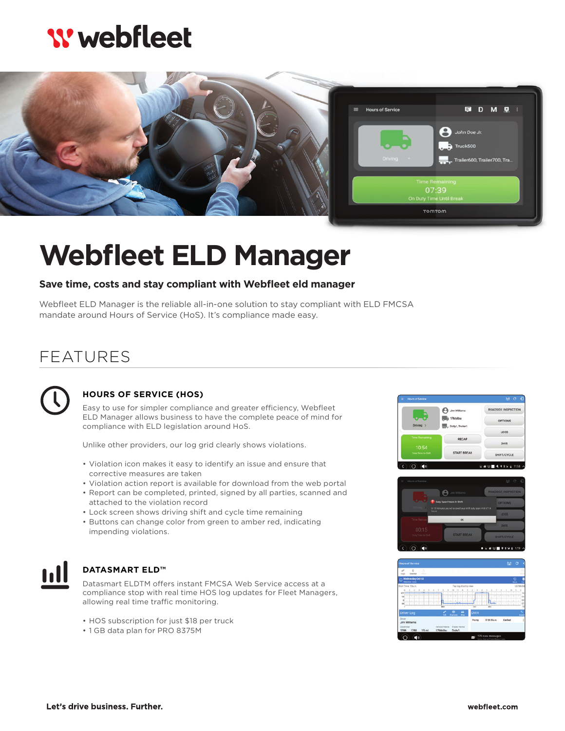# **W** webfleet



# **Webfleet ELD Manager**

### **Save time, costs and stay compliant with Webfleet eld manager**

Webfleet ELD Manager is the reliable all-in-one solution to stay compliant with ELD FMCSA mandate around Hours of Service (HoS). It's compliance made easy.

## FEATURES



### **HOURS OF SERVICE (HOS)**

Easy to use for simpler compliance and greater efficiency, Webfleet ELD Manager allows business to have the complete peace of mind for compliance with ELD legislation around HoS.

Unlike other providers, our log grid clearly shows violations.

- Violation icon makes it easy to identify an issue and ensure that corrective measures are taken
- Violation action report is available for download from the web portal
- Report can be completed, printed, signed by all parties, scanned and attached to the violation record
- Lock screen shows driving shift and cycle time remaining
- Buttons can change color from green to amber red, indicating impending violations.



#### **DATASMART ELD™**

Datasmart ELDTM offers instant FMCSA Web Service access at a compliance stop with real time HOS log updates for Fleet Managers, allowing real time traffic monitoring.

- HOS subscription for just \$18 per truck
- 1 GB data plan for PRO 8375M